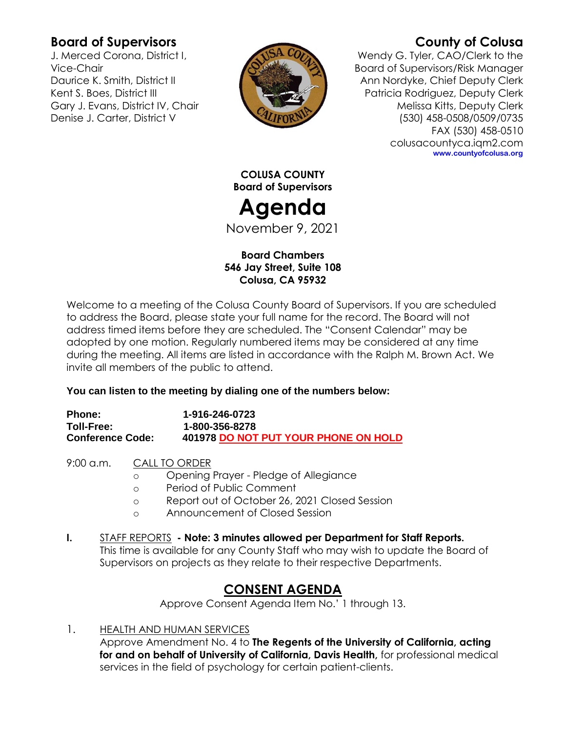# **Board of Supervisors**

J. Merced Corona, District I, Vice-Chair Daurice K. Smith, District II Kent S. Boes, District III Gary J. Evans, District IV, Chair Denise J. Carter, District V



# **County of Colusa**

Wendy G. Tyler, CAO/Clerk to the Board of Supervisors/Risk Manager Ann Nordyke, Chief Deputy Clerk Patricia Rodriguez, Deputy Clerk Melissa Kitts, Deputy Clerk (530) 458-0508/0509/0735 FAX (530) 458-0510 colusacountyca.iqm2.com **www.countyofcolusa.org**

**COLUSA COUNTY Board of Supervisors**

# **Agenda**

November 9, 2021

#### **Board Chambers 546 Jay Street, Suite 108 Colusa, CA 95932**

Welcome to a meeting of the Colusa County Board of Supervisors. If you are scheduled to address the Board, please state your full name for the record. The Board will not address timed items before they are scheduled. The "Consent Calendar" may be adopted by one motion. Regularly numbered items may be considered at any time during the meeting. All items are listed in accordance with the Ralph M. Brown Act. We invite all members of the public to attend.

#### **You can listen to the meeting by dialing one of the numbers below:**

| <b>Phone:</b>           | 1-916-246-0723                       |
|-------------------------|--------------------------------------|
| <b>Toll-Free:</b>       | 1-800-356-8278                       |
| <b>Conference Code:</b> | 401978 DO NOT PUT YOUR PHONE ON HOLD |

9:00 a.m. CALL TO ORDER

- o Opening Prayer Pledge of Allegiance
- o Period of Public Comment
- o Report out of October 26, 2021 Closed Session
- o Announcement of Closed Session
- **I.** STAFF REPORTS **- Note: 3 minutes allowed per Department for Staff Reports.** This time is available for any County Staff who may wish to update the Board of Supervisors on projects as they relate to their respective Departments.

# **CONSENT AGENDA**

Approve Consent Agenda Item No.' 1 through 13.

1. HEALTH AND HUMAN SERVICES

Approve Amendment No. 4 to **The Regents of the University of California, acting for and on behalf of University of California, Davis Health,** for professional medical services in the field of psychology for certain patient-clients.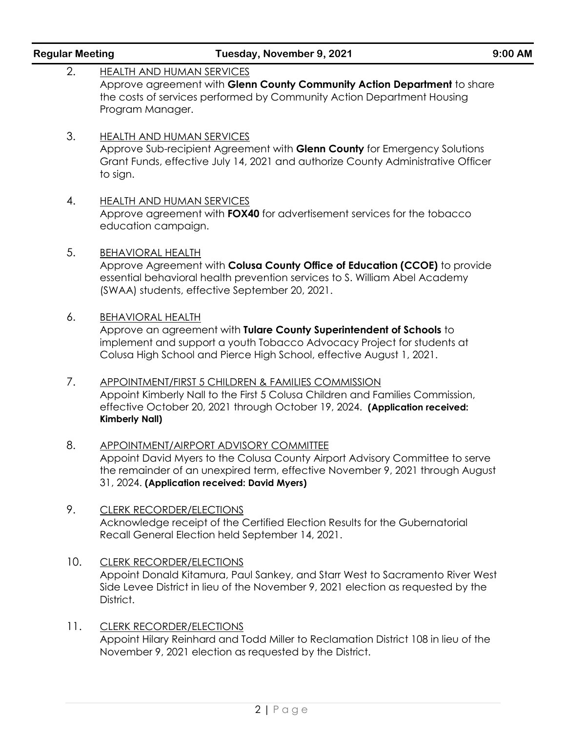| <b>Regular Meeting</b> | Tuesday, November 9, 2021                                                                                                                                                                                                                                       | 9:00 AM |
|------------------------|-----------------------------------------------------------------------------------------------------------------------------------------------------------------------------------------------------------------------------------------------------------------|---------|
| 2.                     | <b>HEALTH AND HUMAN SERVICES</b><br>Approve agreement with Glenn County Community Action Department to share<br>the costs of services performed by Community Action Department Housing<br>Program Manager.                                                      |         |
| 3.                     | <b>HEALTH AND HUMAN SERVICES</b><br>Approve Sub-recipient Agreement with Glenn County for Emergency Solutions<br>Grant Funds, effective July 14, 2021 and authorize County Administrative Officer<br>to sign.                                                   |         |
| 4.                     | <b>HEALTH AND HUMAN SERVICES</b><br>Approve agreement with FOX40 for advertisement services for the tobacco<br>education campaign.                                                                                                                              |         |
| 5.                     | <b>BEHAVIORAL HEALTH</b><br>Approve Agreement with Colusa County Office of Education (CCOE) to provide<br>essential behavioral health prevention services to S. William Abel Academy<br>(SWAA) students, effective September 20, 2021.                          |         |
| 6.                     | <b>BEHAVIORAL HEALTH</b><br>Approve an agreement with Tulare County Superintendent of Schools to<br>implement and support a youth Tobacco Advocacy Project for students at<br>Colusa High School and Pierce High School, effective August 1, 2021.              |         |
| 7.                     | APPOINTMENT/FIRST 5 CHILDREN & FAMILIES COMMISSION<br>Appoint Kimberly Nall to the First 5 Colusa Children and Families Commission,<br>effective October 20, 2021 through October 19, 2024. (Application received:<br><b>Kimberly Nall)</b>                     |         |
| 8.                     | <b>APPOINTMENT/AIRPORT ADVISORY COMMITTEE</b><br>Appoint David Myers to the Colusa County Airport Advisory Committee to serve<br>the remainder of an unexpired term, effective November 9, 2021 through August<br>31, 2024. (Application received: David Myers) |         |
| 9.                     | <b>CLERK RECORDER/ELECTIONS</b><br>Acknowledge receipt of the Certified Election Results for the Gubernatorial<br>Recall General Election held September 14, 2021.                                                                                              |         |
| 10.                    | <b>CLERK RECORDER/ELECTIONS</b><br>Appoint Donald Kitamura, Paul Sankey, and Starr West to Sacramento River West<br>Side Levee District in lieu of the November 9, 2021 election as requested by the<br>District.                                               |         |
| 11.                    | <b>CLERK RECORDER/ELECTIONS</b><br>Appoint Hilary Reinhard and Todd Miller to Reclamation District 108 in lieu of the<br>November 9, 2021 election as requested by the District.                                                                                |         |
|                        |                                                                                                                                                                                                                                                                 |         |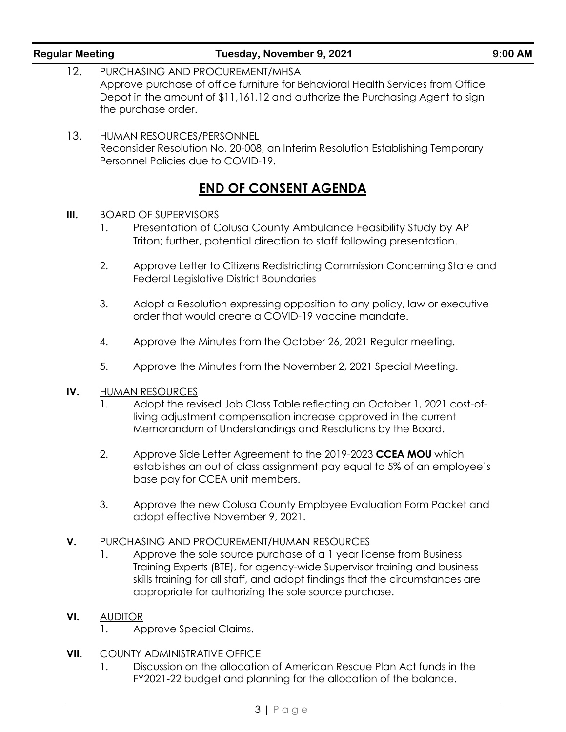|      | FY2021-22 budget and planning for the allocation of the balance.                                                                                                                                                                                                                                                                            |
|------|---------------------------------------------------------------------------------------------------------------------------------------------------------------------------------------------------------------------------------------------------------------------------------------------------------------------------------------------|
| VII. | <b>COUNTY ADMINISTRATIVE OFFICE</b><br>Discussion on the allocation of American Rescue Plan Act funds in the                                                                                                                                                                                                                                |
| VI.  | <b>AUDITOR</b><br>Approve Special Claims.<br>1.                                                                                                                                                                                                                                                                                             |
| V.   | PURCHASING AND PROCUREMENT/HUMAN RESOURCES<br>Approve the sole source purchase of a 1 year license from Business<br>1.<br>Training Experts (BTE), for agency-wide Supervisor training and business<br>skills training for all staff, and adopt findings that the circumstances are<br>appropriate for authorizing the sole source purchase. |
|      | 3.<br>Approve the new Colusa County Employee Evaluation Form Packet and<br>adopt effective November 9, 2021.                                                                                                                                                                                                                                |
|      | Approve Side Letter Agreement to the 2019-2023 CCEA MOU which<br>2.<br>establishes an out of class assignment pay equal to 5% of an employee's<br>base pay for CCEA unit members.                                                                                                                                                           |
| IV.  | <b>HUMAN RESOURCES</b><br>Adopt the revised Job Class Table reflecting an October 1, 2021 cost-of-<br>1.<br>living adjustment compensation increase approved in the current<br>Memorandum of Understandings and Resolutions by the Board.                                                                                                   |
|      | 5.<br>Approve the Minutes from the November 2, 2021 Special Meeting.                                                                                                                                                                                                                                                                        |
|      | Approve the Minutes from the October 26, 2021 Regular meeting.<br>4.                                                                                                                                                                                                                                                                        |
|      | 3.<br>Adopt a Resolution expressing opposition to any policy, law or executive<br>order that would create a COVID-19 vaccine mandate.                                                                                                                                                                                                       |
|      | 2.<br>Approve Letter to Citizens Redistricting Commission Concerning State and<br>Federal Legislative District Boundaries                                                                                                                                                                                                                   |
| III. | <b>BOARD OF SUPERVISORS</b><br>Presentation of Colusa County Ambulance Feasibility Study by AP<br>1.<br>Triton; further, potential direction to staff following presentation.                                                                                                                                                               |
|      | <b>END OF CONSENT AGENDA</b>                                                                                                                                                                                                                                                                                                                |
| 13.  | <b>HUMAN RESOURCES/PERSONNEL</b><br>Reconsider Resolution No. 20-008, an Interim Resolution Establishing Temporary<br>Personnel Policies due to COVID-19.                                                                                                                                                                                   |
|      | the purchase order.                                                                                                                                                                                                                                                                                                                         |

12. PURCHASING AND PROCUREMENT/MHSA

### **Regular Meeting Tuesday, November 9, 2021 9:00 AM**

Approve purchase of office furniture for Behavioral Health Services from Office